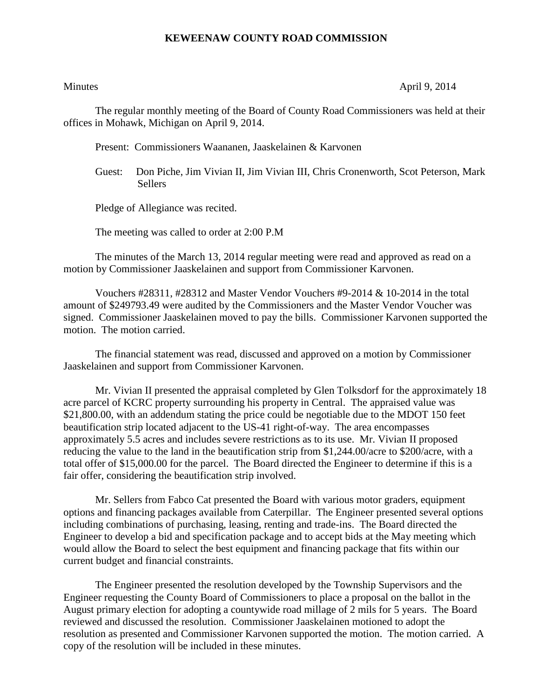## **KEWEENAW COUNTY ROAD COMMISSION**

Minutes April 9, 2014

The regular monthly meeting of the Board of County Road Commissioners was held at their offices in Mohawk, Michigan on April 9, 2014.

Present: Commissioners Waananen, Jaaskelainen & Karvonen

Guest: Don Piche, Jim Vivian II, Jim Vivian III, Chris Cronenworth, Scot Peterson, Mark **Sellers** 

Pledge of Allegiance was recited.

The meeting was called to order at 2:00 P.M

The minutes of the March 13, 2014 regular meeting were read and approved as read on a motion by Commissioner Jaaskelainen and support from Commissioner Karvonen.

Vouchers #28311, #28312 and Master Vendor Vouchers #9-2014 & 10-2014 in the total amount of \$249793.49 were audited by the Commissioners and the Master Vendor Voucher was signed. Commissioner Jaaskelainen moved to pay the bills. Commissioner Karvonen supported the motion. The motion carried.

The financial statement was read, discussed and approved on a motion by Commissioner Jaaskelainen and support from Commissioner Karvonen.

Mr. Vivian II presented the appraisal completed by Glen Tolksdorf for the approximately 18 acre parcel of KCRC property surrounding his property in Central. The appraised value was \$21,800.00, with an addendum stating the price could be negotiable due to the MDOT 150 feet beautification strip located adjacent to the US-41 right-of-way. The area encompasses approximately 5.5 acres and includes severe restrictions as to its use. Mr. Vivian II proposed reducing the value to the land in the beautification strip from \$1,244.00/acre to \$200/acre, with a total offer of \$15,000.00 for the parcel. The Board directed the Engineer to determine if this is a fair offer, considering the beautification strip involved.

Mr. Sellers from Fabco Cat presented the Board with various motor graders, equipment options and financing packages available from Caterpillar. The Engineer presented several options including combinations of purchasing, leasing, renting and trade-ins. The Board directed the Engineer to develop a bid and specification package and to accept bids at the May meeting which would allow the Board to select the best equipment and financing package that fits within our current budget and financial constraints.

The Engineer presented the resolution developed by the Township Supervisors and the Engineer requesting the County Board of Commissioners to place a proposal on the ballot in the August primary election for adopting a countywide road millage of 2 mils for 5 years. The Board reviewed and discussed the resolution. Commissioner Jaaskelainen motioned to adopt the resolution as presented and Commissioner Karvonen supported the motion. The motion carried. A copy of the resolution will be included in these minutes.